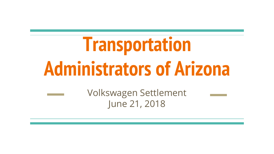# **Transportation Administrators of Arizona**

Volkswagen Settlement June 21, 2018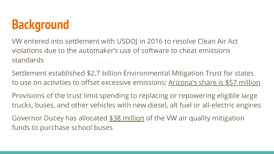# **Background**

VW entered into settlement with USDOJ in 2016 to resolve Clean Air Act violations due to the automaker's use of software to cheat emissions standards

Settlement established \$2.7 billion Environmental Mitigation Trust for states to use on activities to offset excessive emissions; Arizona's share is \$57 million

Provisions of the trust limit spending to replacing or repowering eligible large trucks, buses, and other vehicles with new diesel, alt fuel or all-electric engines

Governor Ducey has allocated \$38 million of the VW air quality mitigation funds to purchase school buses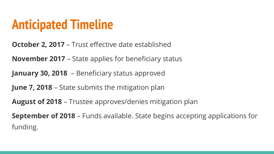#### **Anticipated Timeline**

**October 2, 2017** – Trust effective date established

**November 2017** – State applies for beneficiary status

**January 30, 2018** – Beneficiary status approved

**June 7, 2018** – State submits the mitigation plan

**August of 2018** – Trustee approves/denies mitigation plan

**September of 2018** – Funds available. State begins accepting applications for funding.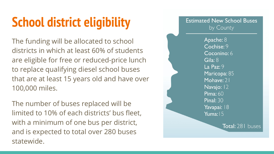# **School district eligibility**

The funding will be allocated to school districts in which at least 60% of students are eligible for free or reduced-price lunch to replace qualifying diesel school buses that are at least 15 years old and have over 100,000 miles.

The number of buses replaced will be limited to 10% of each districts' bus fleet, with a minimum of one bus per district, and is expected to total over 280 buses statewide.

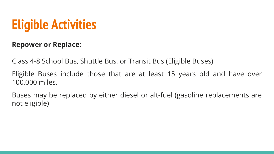

#### **Repower or Replace:**

Class 4-8 School Bus, Shuttle Bus, or Transit Bus (Eligible Buses)

Eligible Buses include those that are at least 15 years old and have over 100,000 miles.

Buses may be replaced by either diesel or alt-fuel (gasoline replacements are not eligible)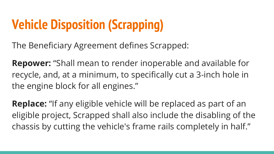# **Vehicle Disposition (Scrapping)**

The Beneficiary Agreement defines Scrapped:

**Repower:** "Shall mean to render inoperable and available for recycle, and, at a minimum, to specifically cut a 3-inch hole in the engine block for all engines."

**Replace:** "If any eligible vehicle will be replaced as part of an eligible project, Scrapped shall also include the disabling of the chassis by cutting the vehicle's frame rails completely in half."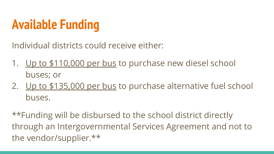## **Available Funding**

Individual districts could receive either:

- 1. Up to \$110,000 per bus to purchase new diesel school buses; or
- 2. Up to \$135,000 per bus to purchase alternative fuel school buses.

\*\*Funding will be disbursed to the school district directly through an Intergovernmental Services Agreement and not to the vendor/supplier.\*\*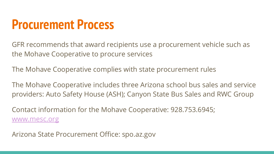#### **Procurement Process**

GFR recommends that award recipients use a procurement vehicle such as the Mohave Cooperative to procure services

The Mohave Cooperative complies with state procurement rules

The Mohave Cooperative includes three Arizona school bus sales and service providers: Auto Safety House (ASH); Canyon State Bus Sales and RWC Group

Contact information for the Mohave Cooperative: 928.753.6945; www.mesc.org

Arizona State Procurement Office: spo.az.gov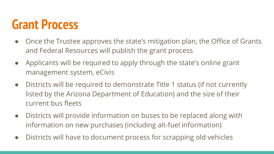#### **Grant Process**

- Once the Trustee approves the state's mitigation plan, the Office of Grants and Federal Resources will publish the grant process
- Applicants will be required to apply through the state's online grant management system, eCivis
- Districts will be required to demonstrate Title 1 status (if not currently listed by the Arizona Department of Education) and the size of their current bus fleets
- Districts will provide information on buses to be replaced along with information on new purchases (including alt-fuel information)
- Districts will have to document process for scrapping old vehicles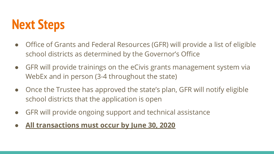#### **Next Steps**

- Office of Grants and Federal Resources (GFR) will provide a list of eligible school districts as determined by the Governor's Office
- GFR will provide trainings on the eCivis grants management system via WebEx and in person (3-4 throughout the state)
- Once the Trustee has approved the state's plan, GFR will notify eligible school districts that the application is open
- GFR will provide ongoing support and technical assistance
- **● All transactions must occur by June 30, 2020**